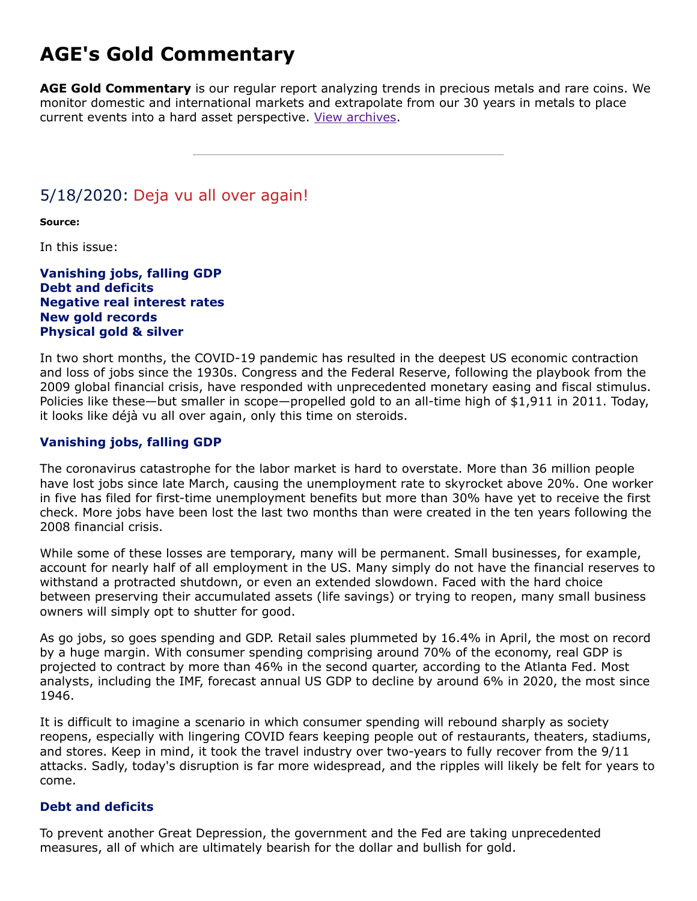## **AGE's Gold Commentary**

**AGE Gold Commentary** is our regular report analyzing trends in precious metals and rare coins. We monitor domestic and international markets and extrapolate from our 30 years in metals to place current events into a hard asset perspective. [View archives.](https://www.amergold.com/gold-news-info/gold-commentary-archives.php)

### 5/18/2020: Deja vu all over again!

**Source:**

In this issue:

**Vanishing jobs, falling GDP Debt and deficits Negative real interest rates New gold records Physical gold & silver**

In two short months, the COVID-19 pandemic has resulted in the deepest US economic contraction and loss of jobs since the 1930s. Congress and the Federal Reserve, following the playbook from the 2009 global financial crisis, have responded with unprecedented monetary easing and fiscal stimulus. Policies like these—but smaller in scope—propelled gold to an all-time high of \$1,911 in 2011. Today, it looks like déjà vu all over again, only this time on steroids.

#### **Vanishing jobs, falling GDP**

The coronavirus catastrophe for the labor market is hard to overstate. More than 36 million people have lost jobs since late March, causing the unemployment rate to skyrocket above 20%. One worker in five has filed for first-time unemployment benefits but more than 30% have yet to receive the first check. More jobs have been lost the last two months than were created in the ten years following the 2008 financial crisis.

While some of these losses are temporary, many will be permanent. Small businesses, for example, account for nearly half of all employment in the US. Many simply do not have the financial reserves to withstand a protracted shutdown, or even an extended slowdown. Faced with the hard choice between preserving their accumulated assets (life savings) or trying to reopen, many small business owners will simply opt to shutter for good.

As go jobs, so goes spending and GDP. Retail sales plummeted by 16.4% in April, the most on record by a huge margin. With consumer spending comprising around 70% of the economy, real GDP is projected to contract by more than 46% in the second quarter, according to the Atlanta Fed. Most analysts, including the IMF, forecast annual US GDP to decline by around 6% in 2020, the most since 1946.

It is difficult to imagine a scenario in which consumer spending will rebound sharply as society reopens, especially with lingering COVID fears keeping people out of restaurants, theaters, stadiums, and stores. Keep in mind, it took the travel industry over two-years to fully recover from the 9/11 attacks. Sadly, today's disruption is far more widespread, and the ripples will likely be felt for years to come.

#### **Debt and deficits**

To prevent another Great Depression, the government and the Fed are taking unprecedented measures, all of which are ultimately bearish for the dollar and bullish for gold.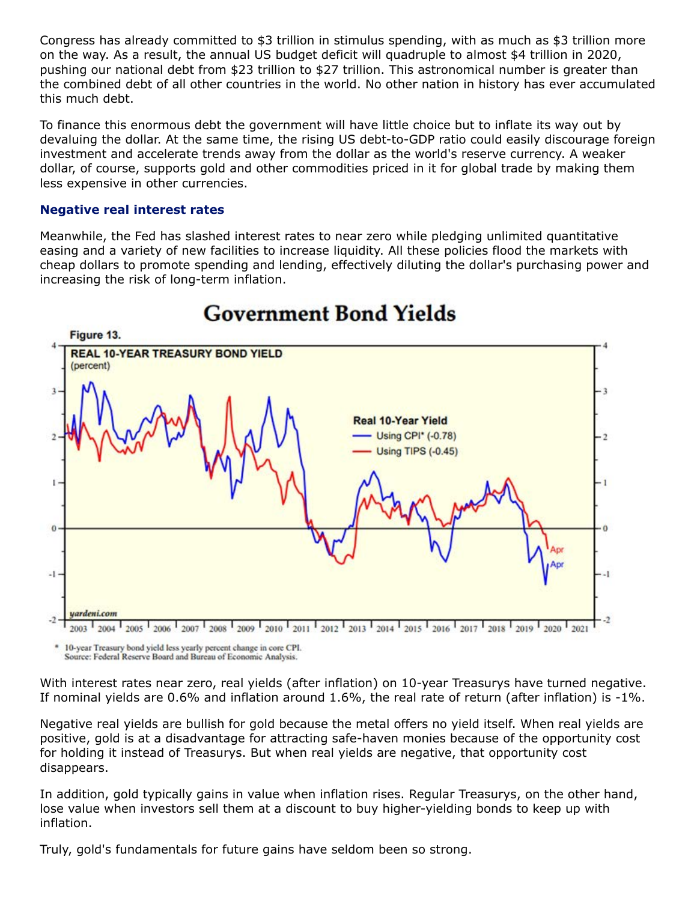Congress has already committed to \$3 trillion in stimulus spending, with as much as \$3 trillion more on the way. As a result, the annual US budget deficit will quadruple to almost \$4 trillion in 2020, pushing our national debt from \$23 trillion to \$27 trillion. This astronomical number is greater than the combined debt of all other countries in the world. No other nation in history has ever accumulated this much debt.

To finance this enormous debt the government will have little choice but to inflate its way out by devaluing the dollar. At the same time, the rising US debt-to-GDP ratio could easily discourage foreign investment and accelerate trends away from the dollar as the world's reserve currency. A weaker dollar, of course, supports gold and other commodities priced in it for global trade by making them less expensive in other currencies.

#### **Negative real interest rates**

Meanwhile, the Fed has slashed interest rates to near zero while pledging unlimited quantitative easing and a variety of new facilities to increase liquidity. All these policies flood the markets with cheap dollars to promote spending and lending, effectively diluting the dollar's purchasing power and increasing the risk of long-term inflation.



# **Government Bond Yields**

\* 10-year Treasury bond yield less yearly percent change in core CPI. Source: Federal Reserve Board and Bureau of Economic Analysis.

With interest rates near zero, real yields (after inflation) on 10-year Treasurys have turned negative. If nominal yields are 0.6% and inflation around 1.6%, the real rate of return (after inflation) is -1%.

Negative real yields are bullish for gold because the metal offers no yield itself. When real yields are positive, gold is at a disadvantage for attracting safe-haven monies because of the opportunity cost for holding it instead of Treasurys. But when real yields are negative, that opportunity cost disappears.

In addition, gold typically gains in value when inflation rises. Regular Treasurys, on the other hand, lose value when investors sell them at a discount to buy higher-yielding bonds to keep up with inflation.

Truly, gold's fundamentals for future gains have seldom been so strong.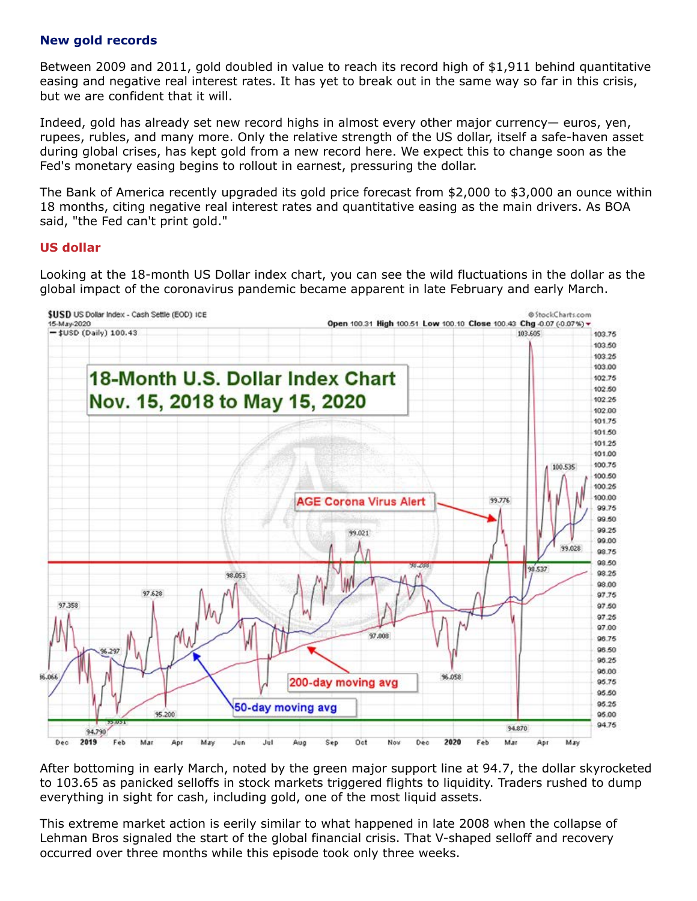#### **New gold records**

Between 2009 and 2011, gold doubled in value to reach its record high of \$1,911 behind quantitative easing and negative real interest rates. It has yet to break out in the same way so far in this crisis, but we are confident that it will.

Indeed, gold has already set new record highs in almost every other major currency— euros, yen, rupees, rubles, and many more. Only the relative strength of the US dollar, itself a safe-haven asset during global crises, has kept gold from a new record here. We expect this to change soon as the Fed's monetary easing begins to rollout in earnest, pressuring the dollar.

The Bank of America recently upgraded its gold price forecast from \$2,000 to \$3,000 an ounce within 18 months, citing negative real interest rates and quantitative easing as the main drivers. As BOA said, "the Fed can't print gold."

#### **US dollar**

Looking at the 18-month US Dollar index chart, you can see the wild fluctuations in the dollar as the global impact of the coronavirus pandemic became apparent in late February and early March.



After bottoming in early March, noted by the green major support line at 94.7, the dollar skyrocketed to 103.65 as panicked selloffs in stock markets triggered flights to liquidity. Traders rushed to dump everything in sight for cash, including gold, one of the most liquid assets.

This extreme market action is eerily similar to what happened in late 2008 when the collapse of Lehman Bros signaled the start of the global financial crisis. That V-shaped selloff and recovery occurred over three months while this episode took only three weeks.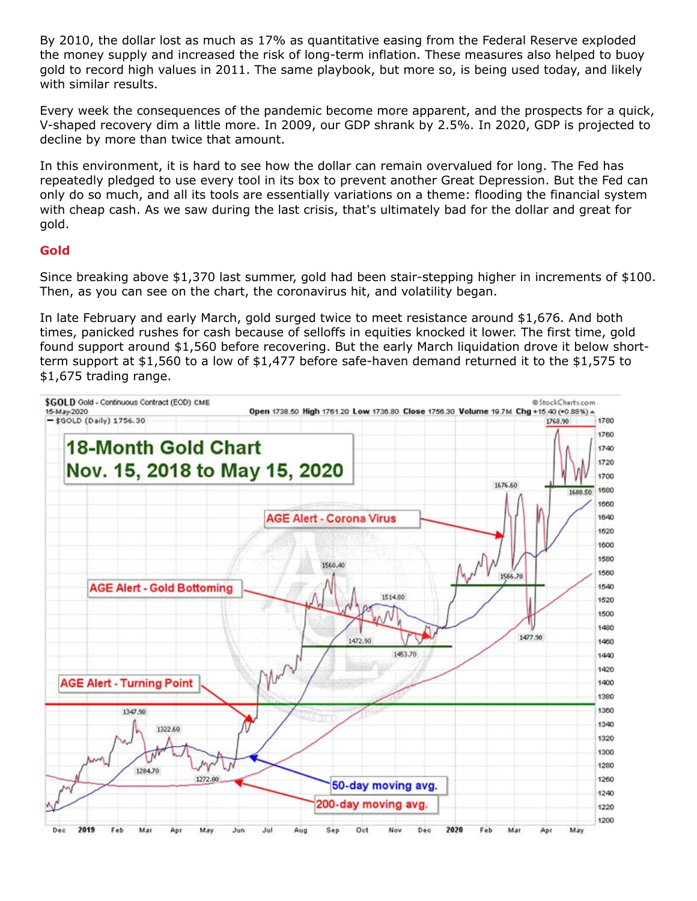By 2010, the dollar lost as much as 17% as quantitative easing from the Federal Reserve exploded the money supply and increased the risk of long-term inflation. These measures also helped to buoy gold to record high values in 2011. The same playbook, but more so, is being used today, and likely with similar results.

Every week the consequences of the pandemic become more apparent, and the prospects for a quick, V-shaped recovery dim a little more. In 2009, our GDP shrank by 2.5%. In 2020, GDP is projected to decline by more than twice that amount.

In this environment, it is hard to see how the dollar can remain overvalued for long. The Fed has repeatedly pledged to use every tool in its box to prevent another Great Depression. But the Fed can only do so much, and all its tools are essentially variations on a theme: flooding the financial system with cheap cash. As we saw during the last crisis, that's ultimately bad for the dollar and great for gold.

#### **Gold**

Since breaking above \$1,370 last summer, gold had been stair-stepping higher in increments of \$100. Then, as you can see on the chart, the coronavirus hit, and volatility began.

In late February and early March, gold surged twice to meet resistance around \$1,676. And both times, panicked rushes for cash because of selloffs in equities knocked it lower. The first time, gold found support around \$1,560 before recovering. But the early March liquidation drove it below shortterm support at \$1,560 to a low of \$1,477 before safe-haven demand returned it to the \$1,575 to \$1,675 trading range.

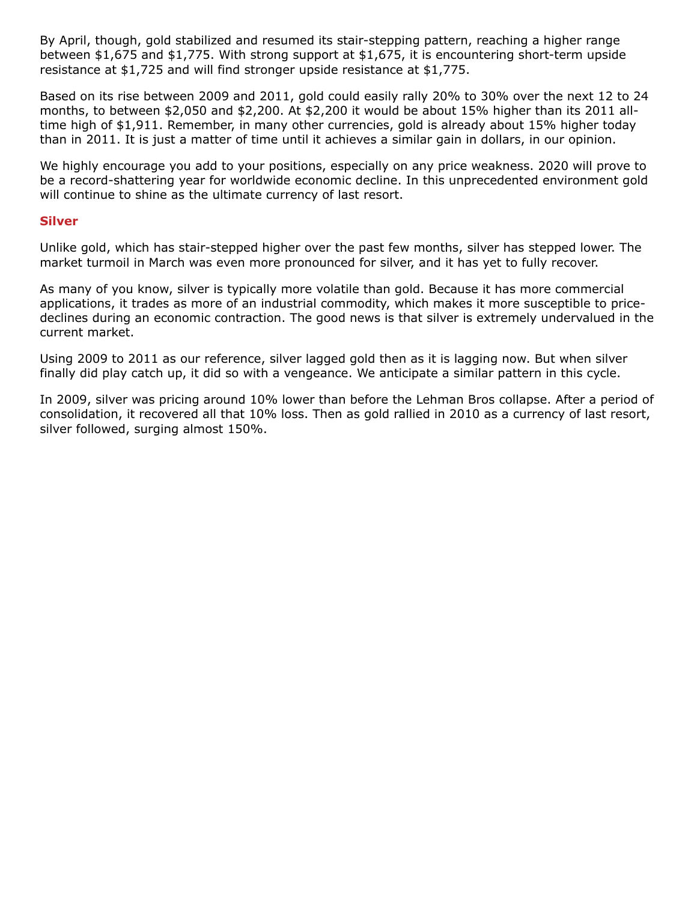By April, though, gold stabilized and resumed its stair-stepping pattern, reaching a higher range between \$1,675 and \$1,775. With strong support at \$1,675, it is encountering short-term upside resistance at \$1,725 and will find stronger upside resistance at \$1,775.

Based on its rise between 2009 and 2011, gold could easily rally 20% to 30% over the next 12 to 24 months, to between \$2,050 and \$2,200. At \$2,200 it would be about 15% higher than its 2011 alltime high of \$1,911. Remember, in many other currencies, gold is already about 15% higher today than in 2011. It is just a matter of time until it achieves a similar gain in dollars, in our opinion.

We highly encourage you add to your positions, especially on any price weakness. 2020 will prove to be a record-shattering year for worldwide economic decline. In this unprecedented environment gold will continue to shine as the ultimate currency of last resort.

#### **Silver**

Unlike gold, which has stair-stepped higher over the past few months, silver has stepped lower. The market turmoil in March was even more pronounced for silver, and it has yet to fully recover.

As many of you know, silver is typically more volatile than gold. Because it has more commercial applications, it trades as more of an industrial commodity, which makes it more susceptible to pricedeclines during an economic contraction. The good news is that silver is extremely undervalued in the current market.

Using 2009 to 2011 as our reference, silver lagged gold then as it is lagging now. But when silver finally did play catch up, it did so with a vengeance. We anticipate a similar pattern in this cycle.

In 2009, silver was pricing around 10% lower than before the Lehman Bros collapse. After a period of consolidation, it recovered all that 10% loss. Then as gold rallied in 2010 as a currency of last resort, silver followed, surging almost 150%.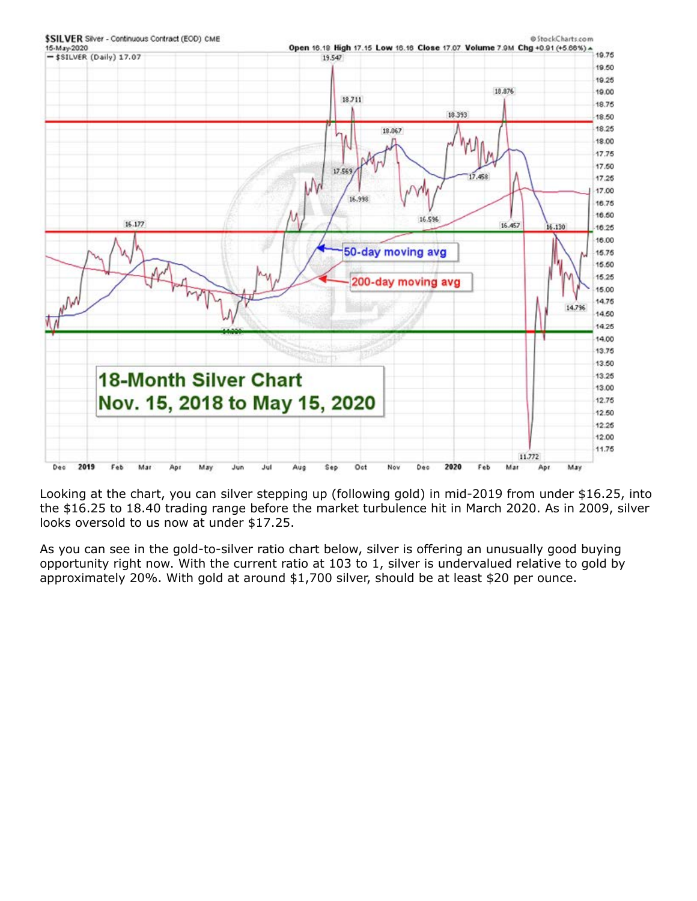

Looking at the chart, you can silver stepping up (following gold) in mid-2019 from under \$16.25, into the \$16.25 to 18.40 trading range before the market turbulence hit in March 2020. As in 2009, silver looks oversold to us now at under \$17.25.

As you can see in the gold-to-silver ratio chart below, silver is offering an unusually good buying opportunity right now. With the current ratio at 103 to 1, silver is undervalued relative to gold by approximately 20%. With gold at around \$1,700 silver, should be at least \$20 per ounce.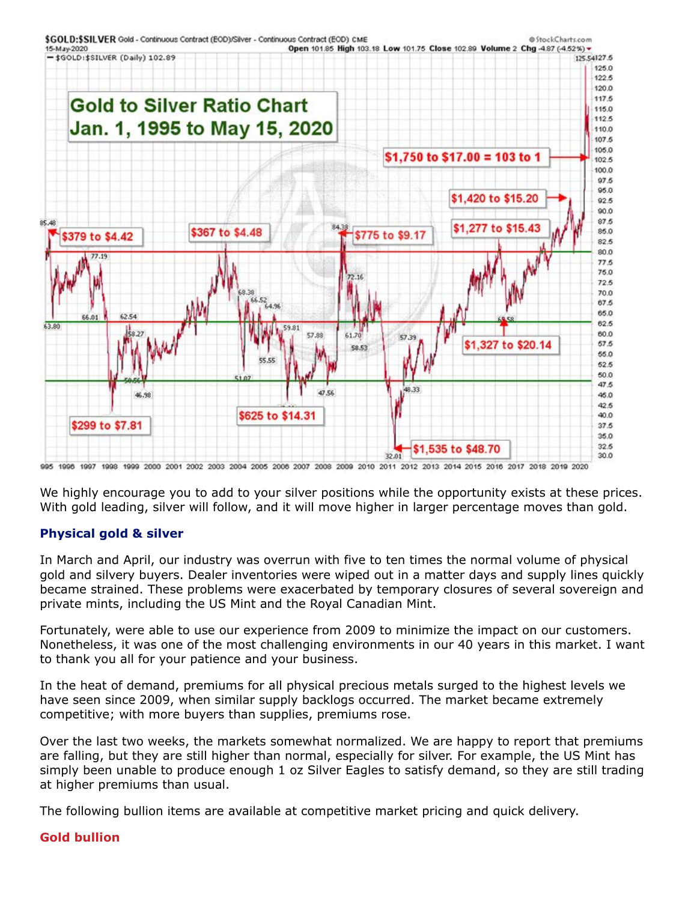

995 1996 1997 1998 1999 2000 2001 2002 2003 2004 2005 2006 2007 2008 2009 2010 2011 2012 2013 2014 2015 2016 2017 2018 2019 2020

We highly encourage you to add to your silver positions while the opportunity exists at these prices. With gold leading, silver will follow, and it will move higher in larger percentage moves than gold.

#### **Physical gold & silver**

In March and April, our industry was overrun with five to ten times the normal volume of physical gold and silvery buyers. Dealer inventories were wiped out in a matter days and supply lines quickly became strained. These problems were exacerbated by temporary closures of several sovereign and private mints, including the US Mint and the Royal Canadian Mint.

Fortunately, were able to use our experience from 2009 to minimize the impact on our customers. Nonetheless, it was one of the most challenging environments in our 40 years in this market. I want to thank you all for your patience and your business.

In the heat of demand, premiums for all physical precious metals surged to the highest levels we have seen since 2009, when similar supply backlogs occurred. The market became extremely competitive; with more buyers than supplies, premiums rose.

Over the last two weeks, the markets somewhat normalized. We are happy to report that premiums are falling, but they are still higher than normal, especially for silver. For example, the US Mint has simply been unable to produce enough 1 oz Silver Eagles to satisfy demand, so they are still trading at higher premiums than usual.

The following bullion items are available at competitive market pricing and quick delivery.

#### **Gold bullion**